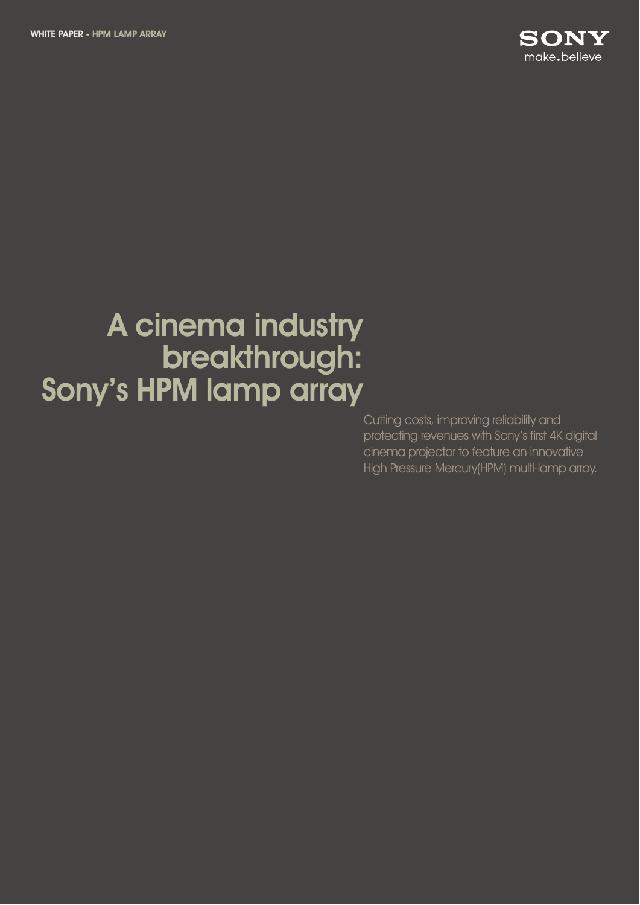

# A cinema industry breakthrough: Sony's HPM lamp array

Cutting costs, improving reliability and protecting revenues with Sony's first 4K digital cinema projector to feature an innovative High Pressure Mercury(HPM) multi-lamp array.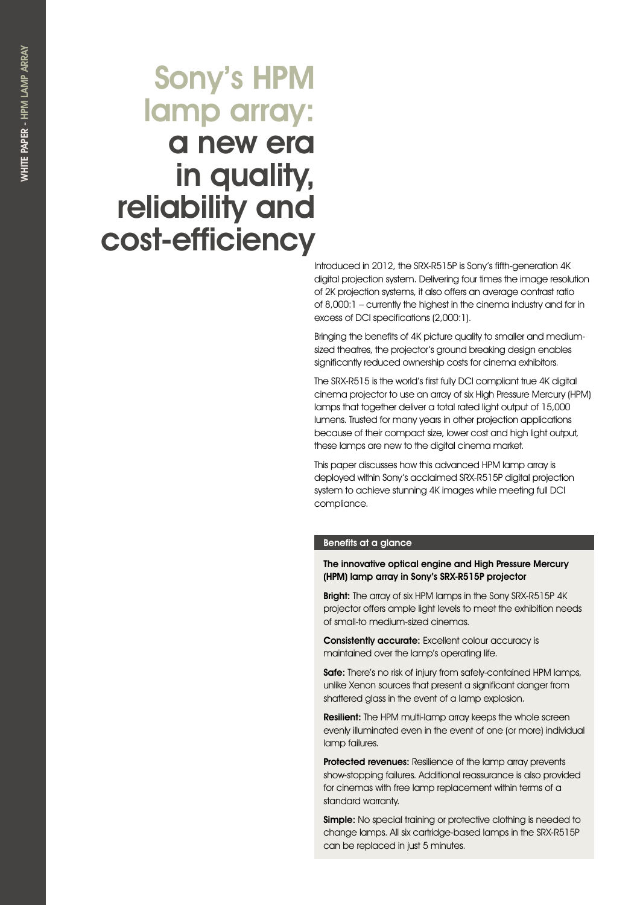# Sony's HPM lamp array: a new era in quality, reliability and cost-efficiency

Introduced in 2012, the SRX-R515P is Sony's fifth-generation 4K digital projection system. Delivering four times the image resolution of 2K projection systems, it also offers an average contrast ratio of 8,000:1 – currently the highest in the cinema industry and far in excess of DCI specifications (2,000:1).

Bringing the benefits of 4K picture quality to smaller and mediumsized theatres, the projector's ground breaking design enables significantly reduced ownership costs for cinema exhibitors.

The SRX-R515 is the world's first fully DCI compliant true 4K digital cinema projector to use an array of six High Pressure Mercury (HPM) lamps that together deliver a total rated light output of 15,000 lumens. Trusted for many years in other projection applications because of their compact size, lower cost and high light output, these lamps are new to the digital cinema market.

This paper discusses how this advanced HPM lamp array is deployed within Sony's acclaimed SRX-R515P digital projection system to achieve stunning 4K images while meeting full DCI compliance.

## Benefits at a glance

## The innovative optical engine and High Pressure Mercury (HPM) lamp array in Sony's SRX-R515P projector

Bright: The array of six HPM lamps in the Sony SRX-R515P 4K projector offers ample light levels to meet the exhibition needs of small-to medium-sized cinemas.

Consistently accurate: Excellent colour accuracy is maintained over the lamp's operating life.

Safe: There's no risk of injury from safely-contained HPM lamps, unlike Xenon sources that present a significant danger from shattered glass in the event of a lamp explosion.

**Resilient:** The HPM multi-lamp array keeps the whole screen evenly illuminated even in the event of one (or more) individual lamp failures.

Protected revenues: Resilience of the lamp array prevents show-stopping failures. Additional reassurance is also provided for cinemas with free lamp replacement within terms of a standard warranty.

Simple: No special training or protective clothing is needed to change lamps. All six cartridge-based lamps in the SRX-R515P can be replaced in just 5 minutes.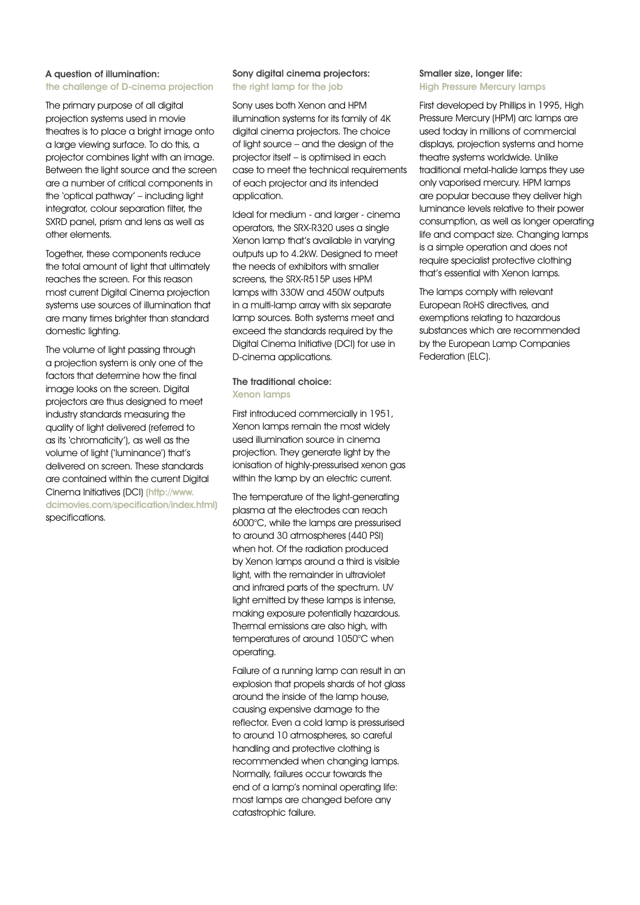## A question of illumination: the challenge of D-cinema projection

The primary purpose of all digital projection systems used in movie theatres is to place a bright image onto a large viewing surface. To do this, a projector combines light with an image. Between the light source and the screen are a number of critical components in the 'optical pathway' – including light integrator, colour separation filter, the SXRD panel, prism and lens as well as other elements.

Together, these components reduce the total amount of light that ultimately reaches the screen. For this reason most current Digital Cinema projection systems use sources of illumination that are many times brighter than standard domestic lighting.

The volume of light passing through a projection system is only one of the factors that determine how the final image looks on the screen. Digital projectors are thus designed to meet industry standards measuring the quality of light delivered (referred to as its 'chromaticity'), as well as the volume of light ('luminance') that's delivered on screen. These standards are contained within the current Digital Cinema Initiatives (DCI) (http://www. dcimovies.com/specification/index.html) specifications.

## Sony digital cinema projectors: the right lamp for the job

Sony uses both Xenon and HPM illumination systems for its family of 4K digital cinema projectors. The choice of light source – and the design of the projector itself – is optimised in each case to meet the technical requirements of each projector and its intended application.

Ideal for medium - and larger - cinema operators, the SRX-R320 uses a single Xenon lamp that's available in varying outputs up to 4.2kW. Designed to meet the needs of exhibitors with smaller screens, the SRX-R515P uses HPM lamps with 330W and 450W outputs in a multi-lamp array with six separate lamp sources. Both systems meet and exceed the standards required by the Digital Cinema Initiative (DCI) for use in D-cinema applications.

## The traditional choice: Xenon lamps

First introduced commercially in 1951, Xenon lamps remain the most widely used illumination source in cinema projection. They generate light by the ionisation of highly-pressurised xenon gas within the lamp by an electric current.

The temperature of the light-generating plasma at the electrodes can reach 6000°C, while the lamps are pressurised to around 30 atmospheres (440 PSI) when hot. Of the radiation produced by Xenon lamps around a third is visible light, with the remainder in ultraviolet and infrared parts of the spectrum. UV light emitted by these lamps is intense, making exposure potentially hazardous. Thermal emissions are also high, with temperatures of around 1050°C when operating.

Failure of a running lamp can result in an explosion that propels shards of hot glass around the inside of the lamp house, causing expensive damage to the reflector. Even a cold lamp is pressurised to around 10 atmospheres, so careful handling and protective clothing is recommended when changing lamps. Normally, failures occur towards the end of a lamp's nominal operating life: most lamps are changed before any catastrophic failure.

## Smaller size, longer life: High Pressure Mercury lamps

First developed by Phillips in 1995, High Pressure Mercury (HPM) arc lamps are used today in millions of commercial displays, projection systems and home theatre systems worldwide. Unlike traditional metal-halide lamps they use only vaporised mercury. HPM lamps are popular because they deliver high luminance levels relative to their power consumption, as well as longer operating life and compact size. Changing lamps is a simple operation and does not require specialist protective clothing that's essential with Xenon lamps.

The lamps comply with relevant European RoHS directives, and exemptions relating to hazardous substances which are recommended by the European Lamp Companies Federation (ELC).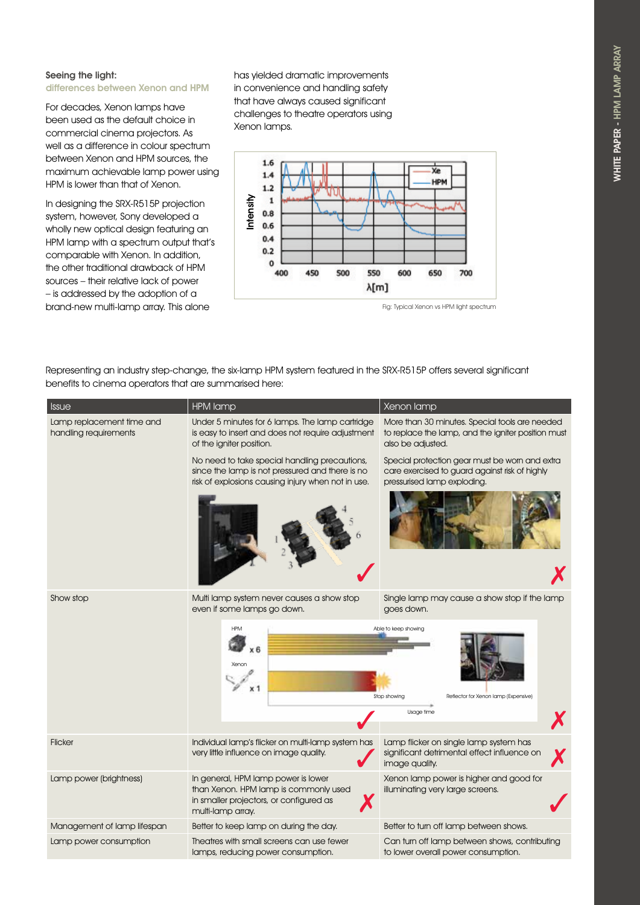## Seeing the light: differences between Xenon and HPM

For decades, Xenon lamps have been used as the default choice in commercial cinema projectors. As well as a difference in colour spectrum between Xenon and HPM sources, the maximum achievable lamp power using HPM is lower than that of Xenon.

In designing the SRX-R515P projection system, however, Sony developed a wholly new optical design featuring an HPM lamp with a spectrum output that's comparable with Xenon. In addition, the other traditional drawback of HPM sources – their relative lack of power – is addressed by the adoption of a brand-new multi-lamp array. This alone

has yielded dramatic improvements in convenience and handling safety that have always caused significant challenges to theatre operators using Xenon lamps.



Fig: Typical Xenon vs HPM light spectrum

Representing an industry step-change, the six-lamp HPM system featured in the SRX-R515P offers several significant benefits to cinema operators that are summarised here:

| <b>Issue</b>                                       | <b>HPM lamp</b>                                                                                                                                                                                          | Xenon lamp                                                                                                                      |  |
|----------------------------------------------------|----------------------------------------------------------------------------------------------------------------------------------------------------------------------------------------------------------|---------------------------------------------------------------------------------------------------------------------------------|--|
| Lamp replacement time and<br>handling requirements | Under 5 minutes for 6 lamps. The lamp cartridge<br>is easy to insert and does not require adjustment<br>of the igniter position.                                                                         | More than 30 minutes. Special tools are needed<br>to replace the lamp, and the igniter position must<br>also be adjusted.       |  |
|                                                    | No need to take special handling precautions,<br>since the lamp is not pressured and there is no<br>risk of explosions causing injury when not in use.                                                   | Special protection gear must be worn and extra<br>care exercised to guard against risk of highly<br>pressurised lamp exploding. |  |
|                                                    |                                                                                                                                                                                                          |                                                                                                                                 |  |
| Show stop                                          | Multi lamp system never causes a show stop<br>even if some lamps go down.                                                                                                                                | Single lamp may cause a show stop if the lamp<br>goes down.                                                                     |  |
|                                                    | Xenor                                                                                                                                                                                                    | Able to keep showing<br>Stop showing<br>Reflector for Xenon lamp (Expensive)                                                    |  |
|                                                    |                                                                                                                                                                                                          | Usage time                                                                                                                      |  |
| <b>Flicker</b>                                     | Individual lamp's flicker on multi-lamp system has<br>Lamp flicker on single lamp system has<br>very little influence on image quality.<br>significant detrimental effect influence on<br>image quality. |                                                                                                                                 |  |
| Lamp power (brightness)                            | In general, HPM lamp power is lower<br>than Xenon. HPM lamp is commonly used<br>in smaller projectors, or configured as<br>multi-lamp array.                                                             | Xenon lamp power is higher and good for<br>illuminating very large screens.                                                     |  |
| Management of lamp lifespan                        | Better to keep lamp on during the day.                                                                                                                                                                   | Better to turn off lamp between shows.                                                                                          |  |
| Lamp power consumption                             | Theatres with small screens can use fewer<br>lamps, reducing power consumption.                                                                                                                          | Can turn off lamp between shows, contributing<br>to lower overall power consumption.                                            |  |
|                                                    |                                                                                                                                                                                                          |                                                                                                                                 |  |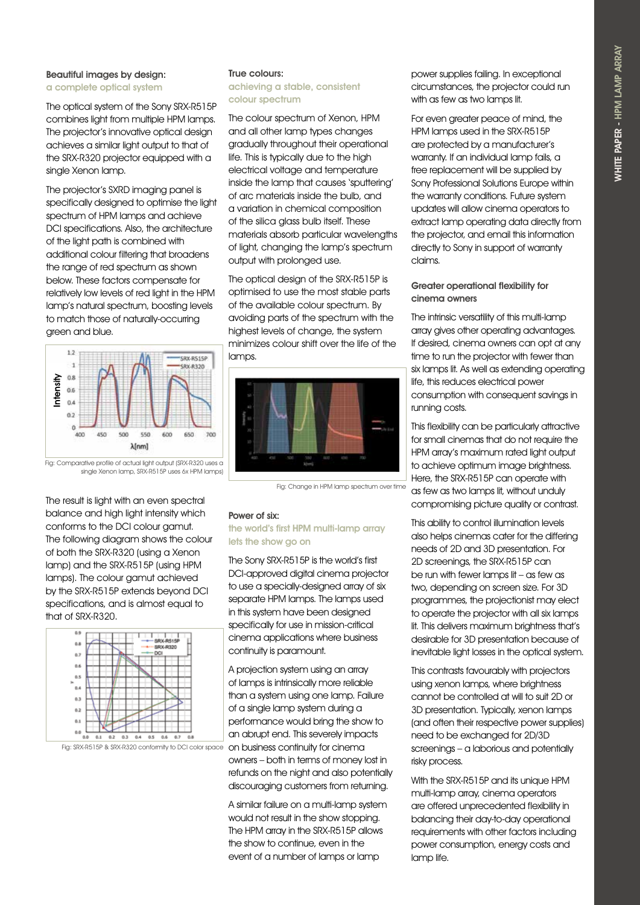## Beautiful images by design: a complete optical system

The optical system of the Sony SRX-R515P combines light from multiple HPM lamps. The projector's innovative optical design achieves a similar light output to that of the SRX-R320 projector equipped with a single Xenon lamp.

The projector's SXRD imaging panel is specifically designed to optimise the light spectrum of HPM lamps and achieve DCI specifications. Also, the architecture of the light path is combined with additional colour filtering that broadens the range of red spectrum as shown below. These factors compensate for relatively low levels of red light in the HPM lamp's natural spectrum, boosting levels to match those of naturally-occurring green and blue.



#### Fig: Comparative profile of actual light output (SRX-R320 uses a single Xenon lamp, SRX-R515P uses 6x HPM lamps)

The result is light with an even spectral balance and high light intensity which conforms to the DCI colour gamut. The following diagram shows the colour of both the SRX-R320 (using a Xenon lamp) and the SRX-R515P (using HPM lamps). The colour gamut achieved by the SRX-R515P extends beyond DCI specifications, and is almost equal to that of SRX-R320.



Fig: SRX-R515P & SRX-R320 conformity to DCI color space on business continuity for cinema

## True colours: achieving a stable, consistent

colour spectrum

The colour spectrum of Xenon, HPM and all other lamp types changes gradually throughout their operational life. This is typically due to the high electrical voltage and temperature inside the lamp that causes 'sputtering' of arc materials inside the bulb, and a variation in chemical composition of the silica glass bulb itself. These materials absorb particular wavelengths of light, changing the lamp's spectrum output with prolonged use.

The optical design of the SRX-R515P is optimised to use the most stable parts of the available colour spectrum. By avoiding parts of the spectrum with the highest levels of change, the system minimizes colour shift over the life of the lamps.



Fig: Change in HPM lamp spectrum over time

## Power of six:

## the world's first HPM multi-lamp array lets the show go on

The Sony SRX-R515P is the world's first DCI-approved digital cinema projector to use a specially-designed array of six separate HPM lamps. The lamps used in this system have been designed specifically for use in mission-critical cinema applications where business continuity is paramount.

A projection system using an array of lamps is intrinsically more reliable than a system using one lamp. Failure of a single lamp system during a performance would bring the show to an abrupt end. This severely impacts owners – both in terms of money lost in refunds on the night and also potentially discouraging customers from returning.

A similar failure on a multi-lamp system would not result in the show stopping. The HPM array in the SRX-R515P allows the show to continue, even in the event of a number of lamps or lamp

power supplies failing. In exceptional circumstances, the projector could run with as few as two lamps lit.

For even greater peace of mind, the HPM lamps used in the SRX-R515P are protected by a manufacturer's warranty. If an individual lamp fails, a free replacement will be supplied by Sony Professional Solutions Europe within the warranty conditions. Future system updates will allow cinema operators to extract lamp operating data directly from the projector, and email this information directly to Sony in support of warranty claims.

## Greater operational flexibility for cinema owners

The intrinsic versatility of this multi-lamp array gives other operating advantages. If desired, cinema owners can opt at any time to run the projector with fewer than six lamps lit. As well as extending operating life, this reduces electrical power consumption with consequent savings in running costs.

This flexibility can be particularly attractive for small cinemas that do not require the HPM array's maximum rated light output to achieve optimum image brightness. Here, the SRX-R515P can operate with as few as two lamps lit, without unduly compromising picture quality or contrast.

This ability to control illumination levels also helps cinemas cater for the differing needs of 2D and 3D presentation. For 2D screenings, the SRX-R515P can be run with fewer lamps lit – as few as two, depending on screen size. For 3D programmes, the projectionist may elect to operate the projector with all six lamps lit. This delivers maximum brightness that's desirable for 3D presentation because of inevitable light losses in the optical system.

This contrasts favourably with projectors using xenon lamps, where brightness cannot be controlled at will to suit 2D or 3D presentation. Typically, xenon lamps (and often their respective power supplies) need to be exchanged for 2D/3D screenings – a laborious and potentially risky process.

With the SRX-R515P and its unique HPM multi-lamp array, cinema operators are offered unprecedented flexibility in balancing their day-to-day operational requirements with other factors including power consumption, energy costs and lamp life.